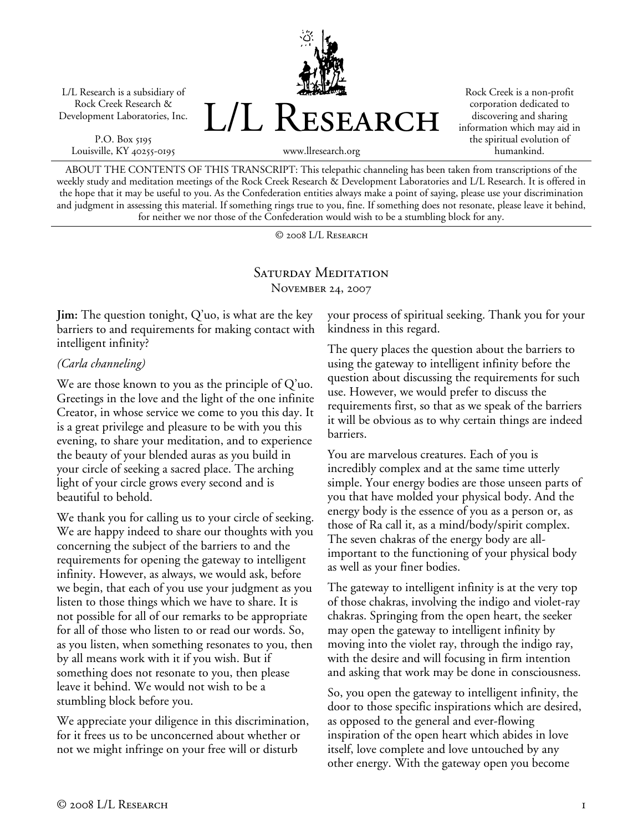L/L Research is a subsidiary of Rock Creek Research & Development Laboratories, Inc.

P.O. Box 5195 Louisville, KY 40255-0195



Rock Creek is a non-profit corporation dedicated to discovering and sharing information which may aid in the spiritual evolution of humankind.

www.llresearch.org

ABOUT THE CONTENTS OF THIS TRANSCRIPT: This telepathic channeling has been taken from transcriptions of the weekly study and meditation meetings of the Rock Creek Research & Development Laboratories and L/L Research. It is offered in the hope that it may be useful to you. As the Confederation entities always make a point of saying, please use your discrimination and judgment in assessing this material. If something rings true to you, fine. If something does not resonate, please leave it behind, for neither we nor those of the Confederation would wish to be a stumbling block for any.

© 2008 L/L Research

SATURDAY MEDITATION November 24, 2007

**Jim:** The question tonight, Q'uo, is what are the key barriers to and requirements for making contact with intelligent infinity?

## *(Carla channeling)*

We are those known to you as the principle of Q'uo. Greetings in the love and the light of the one infinite Creator, in whose service we come to you this day. It is a great privilege and pleasure to be with you this evening, to share your meditation, and to experience the beauty of your blended auras as you build in your circle of seeking a sacred place. The arching light of your circle grows every second and is beautiful to behold.

We thank you for calling us to your circle of seeking. We are happy indeed to share our thoughts with you concerning the subject of the barriers to and the requirements for opening the gateway to intelligent infinity. However, as always, we would ask, before we begin, that each of you use your judgment as you listen to those things which we have to share. It is not possible for all of our remarks to be appropriate for all of those who listen to or read our words. So, as you listen, when something resonates to you, then by all means work with it if you wish. But if something does not resonate to you, then please leave it behind. We would not wish to be a stumbling block before you.

We appreciate your diligence in this discrimination, for it frees us to be unconcerned about whether or not we might infringe on your free will or disturb

your process of spiritual seeking. Thank you for your kindness in this regard.

The query places the question about the barriers to using the gateway to intelligent infinity before the question about discussing the requirements for such use. However, we would prefer to discuss the requirements first, so that as we speak of the barriers it will be obvious as to why certain things are indeed barriers.

You are marvelous creatures. Each of you is incredibly complex and at the same time utterly simple. Your energy bodies are those unseen parts of you that have molded your physical body. And the energy body is the essence of you as a person or, as those of Ra call it, as a mind/body/spirit complex. The seven chakras of the energy body are allimportant to the functioning of your physical body as well as your finer bodies.

The gateway to intelligent infinity is at the very top of those chakras, involving the indigo and violet-ray chakras. Springing from the open heart, the seeker may open the gateway to intelligent infinity by moving into the violet ray, through the indigo ray, with the desire and will focusing in firm intention and asking that work may be done in consciousness.

So, you open the gateway to intelligent infinity, the door to those specific inspirations which are desired, as opposed to the general and ever-flowing inspiration of the open heart which abides in love itself, love complete and love untouched by any other energy. With the gateway open you become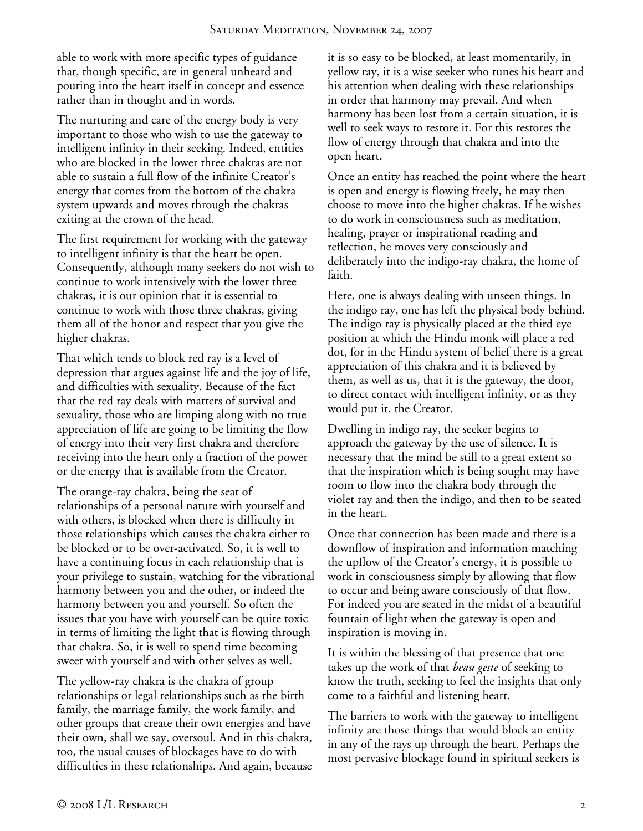able to work with more specific types of guidance that, though specific, are in general unheard and pouring into the heart itself in concept and essence rather than in thought and in words.

The nurturing and care of the energy body is very important to those who wish to use the gateway to intelligent infinity in their seeking. Indeed, entities who are blocked in the lower three chakras are not able to sustain a full flow of the infinite Creator's energy that comes from the bottom of the chakra system upwards and moves through the chakras exiting at the crown of the head.

The first requirement for working with the gateway to intelligent infinity is that the heart be open. Consequently, although many seekers do not wish to continue to work intensively with the lower three chakras, it is our opinion that it is essential to continue to work with those three chakras, giving them all of the honor and respect that you give the higher chakras.

That which tends to block red ray is a level of depression that argues against life and the joy of life, and difficulties with sexuality. Because of the fact that the red ray deals with matters of survival and sexuality, those who are limping along with no true appreciation of life are going to be limiting the flow of energy into their very first chakra and therefore receiving into the heart only a fraction of the power or the energy that is available from the Creator.

The orange-ray chakra, being the seat of relationships of a personal nature with yourself and with others, is blocked when there is difficulty in those relationships which causes the chakra either to be blocked or to be over-activated. So, it is well to have a continuing focus in each relationship that is your privilege to sustain, watching for the vibrational harmony between you and the other, or indeed the harmony between you and yourself. So often the issues that you have with yourself can be quite toxic in terms of limiting the light that is flowing through that chakra. So, it is well to spend time becoming sweet with yourself and with other selves as well.

The yellow-ray chakra is the chakra of group relationships or legal relationships such as the birth family, the marriage family, the work family, and other groups that create their own energies and have their own, shall we say, oversoul. And in this chakra, too, the usual causes of blockages have to do with difficulties in these relationships. And again, because it is so easy to be blocked, at least momentarily, in yellow ray, it is a wise seeker who tunes his heart and his attention when dealing with these relationships in order that harmony may prevail. And when harmony has been lost from a certain situation, it is well to seek ways to restore it. For this restores the flow of energy through that chakra and into the open heart.

Once an entity has reached the point where the heart is open and energy is flowing freely, he may then choose to move into the higher chakras. If he wishes to do work in consciousness such as meditation, healing, prayer or inspirational reading and reflection, he moves very consciously and deliberately into the indigo-ray chakra, the home of faith.

Here, one is always dealing with unseen things. In the indigo ray, one has left the physical body behind. The indigo ray is physically placed at the third eye position at which the Hindu monk will place a red dot, for in the Hindu system of belief there is a great appreciation of this chakra and it is believed by them, as well as us, that it is the gateway, the door, to direct contact with intelligent infinity, or as they would put it, the Creator.

Dwelling in indigo ray, the seeker begins to approach the gateway by the use of silence. It is necessary that the mind be still to a great extent so that the inspiration which is being sought may have room to flow into the chakra body through the violet ray and then the indigo, and then to be seated in the heart.

Once that connection has been made and there is a downflow of inspiration and information matching the upflow of the Creator's energy, it is possible to work in consciousness simply by allowing that flow to occur and being aware consciously of that flow. For indeed you are seated in the midst of a beautiful fountain of light when the gateway is open and inspiration is moving in.

It is within the blessing of that presence that one takes up the work of that *beau geste* of seeking to know the truth, seeking to feel the insights that only come to a faithful and listening heart.

The barriers to work with the gateway to intelligent infinity are those things that would block an entity in any of the rays up through the heart. Perhaps the most pervasive blockage found in spiritual seekers is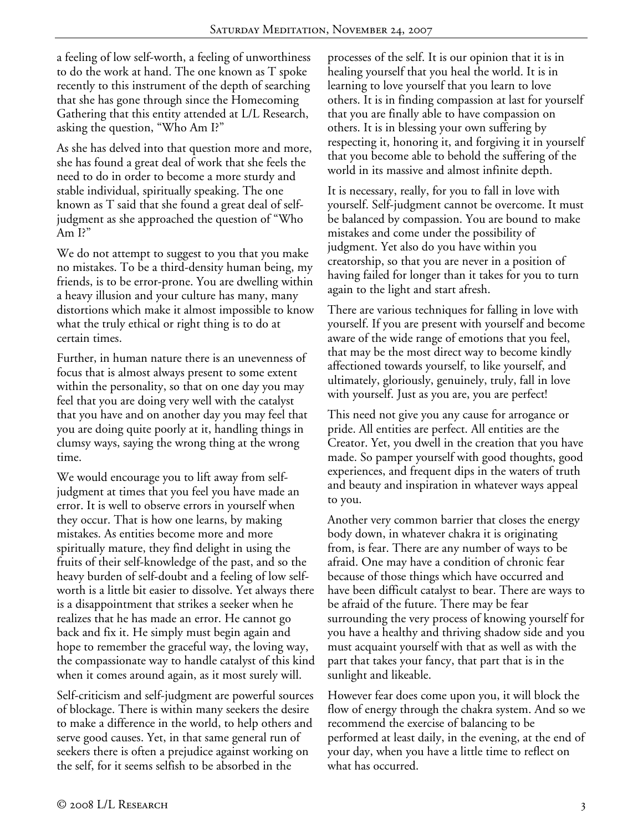a feeling of low self-worth, a feeling of unworthiness to do the work at hand. The one known as T spoke recently to this instrument of the depth of searching that she has gone through since the Homecoming Gathering that this entity attended at L/L Research, asking the question, "Who Am I?"

As she has delved into that question more and more, she has found a great deal of work that she feels the need to do in order to become a more sturdy and stable individual, spiritually speaking. The one known as T said that she found a great deal of selfjudgment as she approached the question of "Who Am I?"

We do not attempt to suggest to you that you make no mistakes. To be a third-density human being, my friends, is to be error-prone. You are dwelling within a heavy illusion and your culture has many, many distortions which make it almost impossible to know what the truly ethical or right thing is to do at certain times.

Further, in human nature there is an unevenness of focus that is almost always present to some extent within the personality, so that on one day you may feel that you are doing very well with the catalyst that you have and on another day you may feel that you are doing quite poorly at it, handling things in clumsy ways, saying the wrong thing at the wrong time.

We would encourage you to lift away from selfjudgment at times that you feel you have made an error. It is well to observe errors in yourself when they occur. That is how one learns, by making mistakes. As entities become more and more spiritually mature, they find delight in using the fruits of their self-knowledge of the past, and so the heavy burden of self-doubt and a feeling of low selfworth is a little bit easier to dissolve. Yet always there is a disappointment that strikes a seeker when he realizes that he has made an error. He cannot go back and fix it. He simply must begin again and hope to remember the graceful way, the loving way, the compassionate way to handle catalyst of this kind when it comes around again, as it most surely will.

Self-criticism and self-judgment are powerful sources of blockage. There is within many seekers the desire to make a difference in the world, to help others and serve good causes. Yet, in that same general run of seekers there is often a prejudice against working on the self, for it seems selfish to be absorbed in the

processes of the self. It is our opinion that it is in healing yourself that you heal the world. It is in learning to love yourself that you learn to love others. It is in finding compassion at last for yourself that you are finally able to have compassion on others. It is in blessing your own suffering by respecting it, honoring it, and forgiving it in yourself that you become able to behold the suffering of the world in its massive and almost infinite depth.

It is necessary, really, for you to fall in love with yourself. Self-judgment cannot be overcome. It must be balanced by compassion. You are bound to make mistakes and come under the possibility of judgment. Yet also do you have within you creatorship, so that you are never in a position of having failed for longer than it takes for you to turn again to the light and start afresh.

There are various techniques for falling in love with yourself. If you are present with yourself and become aware of the wide range of emotions that you feel, that may be the most direct way to become kindly affectioned towards yourself, to like yourself, and ultimately, gloriously, genuinely, truly, fall in love with yourself. Just as you are, you are perfect!

This need not give you any cause for arrogance or pride. All entities are perfect. All entities are the Creator. Yet, you dwell in the creation that you have made. So pamper yourself with good thoughts, good experiences, and frequent dips in the waters of truth and beauty and inspiration in whatever ways appeal to you.

Another very common barrier that closes the energy body down, in whatever chakra it is originating from, is fear. There are any number of ways to be afraid. One may have a condition of chronic fear because of those things which have occurred and have been difficult catalyst to bear. There are ways to be afraid of the future. There may be fear surrounding the very process of knowing yourself for you have a healthy and thriving shadow side and you must acquaint yourself with that as well as with the part that takes your fancy, that part that is in the sunlight and likeable.

However fear does come upon you, it will block the flow of energy through the chakra system. And so we recommend the exercise of balancing to be performed at least daily, in the evening, at the end of your day, when you have a little time to reflect on what has occurred.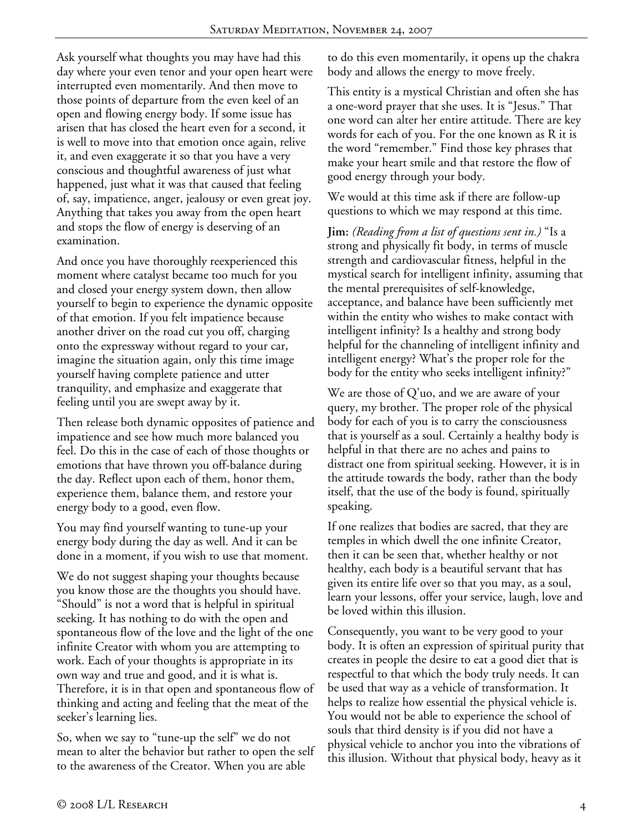Ask yourself what thoughts you may have had this day where your even tenor and your open heart were interrupted even momentarily. And then move to those points of departure from the even keel of an open and flowing energy body. If some issue has arisen that has closed the heart even for a second, it is well to move into that emotion once again, relive it, and even exaggerate it so that you have a very conscious and thoughtful awareness of just what happened, just what it was that caused that feeling of, say, impatience, anger, jealousy or even great joy. Anything that takes you away from the open heart and stops the flow of energy is deserving of an examination.

And once you have thoroughly reexperienced this moment where catalyst became too much for you and closed your energy system down, then allow yourself to begin to experience the dynamic opposite of that emotion. If you felt impatience because another driver on the road cut you off, charging onto the expressway without regard to your car, imagine the situation again, only this time image yourself having complete patience and utter tranquility, and emphasize and exaggerate that feeling until you are swept away by it.

Then release both dynamic opposites of patience and impatience and see how much more balanced you feel. Do this in the case of each of those thoughts or emotions that have thrown you off-balance during the day. Reflect upon each of them, honor them, experience them, balance them, and restore your energy body to a good, even flow.

You may find yourself wanting to tune-up your energy body during the day as well. And it can be done in a moment, if you wish to use that moment.

We do not suggest shaping your thoughts because you know those are the thoughts you should have. "Should" is not a word that is helpful in spiritual seeking. It has nothing to do with the open and spontaneous flow of the love and the light of the one infinite Creator with whom you are attempting to work. Each of your thoughts is appropriate in its own way and true and good, and it is what is. Therefore, it is in that open and spontaneous flow of thinking and acting and feeling that the meat of the seeker's learning lies.

So, when we say to "tune-up the self" we do not mean to alter the behavior but rather to open the self to the awareness of the Creator. When you are able

to do this even momentarily, it opens up the chakra body and allows the energy to move freely.

This entity is a mystical Christian and often she has a one-word prayer that she uses. It is "Jesus." That one word can alter her entire attitude. There are key words for each of you. For the one known as R it is the word "remember." Find those key phrases that make your heart smile and that restore the flow of good energy through your body.

We would at this time ask if there are follow-up questions to which we may respond at this time.

**Jim:** *(Reading from a list of questions sent in.)* "Is a strong and physically fit body, in terms of muscle strength and cardiovascular fitness, helpful in the mystical search for intelligent infinity, assuming that the mental prerequisites of self-knowledge, acceptance, and balance have been sufficiently met within the entity who wishes to make contact with intelligent infinity? Is a healthy and strong body helpful for the channeling of intelligent infinity and intelligent energy? What's the proper role for the body for the entity who seeks intelligent infinity?"

We are those of Q'uo, and we are aware of your query, my brother. The proper role of the physical body for each of you is to carry the consciousness that is yourself as a soul. Certainly a healthy body is helpful in that there are no aches and pains to distract one from spiritual seeking. However, it is in the attitude towards the body, rather than the body itself, that the use of the body is found, spiritually speaking.

If one realizes that bodies are sacred, that they are temples in which dwell the one infinite Creator, then it can be seen that, whether healthy or not healthy, each body is a beautiful servant that has given its entire life over so that you may, as a soul, learn your lessons, offer your service, laugh, love and be loved within this illusion.

Consequently, you want to be very good to your body. It is often an expression of spiritual purity that creates in people the desire to eat a good diet that is respectful to that which the body truly needs. It can be used that way as a vehicle of transformation. It helps to realize how essential the physical vehicle is. You would not be able to experience the school of souls that third density is if you did not have a physical vehicle to anchor you into the vibrations of this illusion. Without that physical body, heavy as it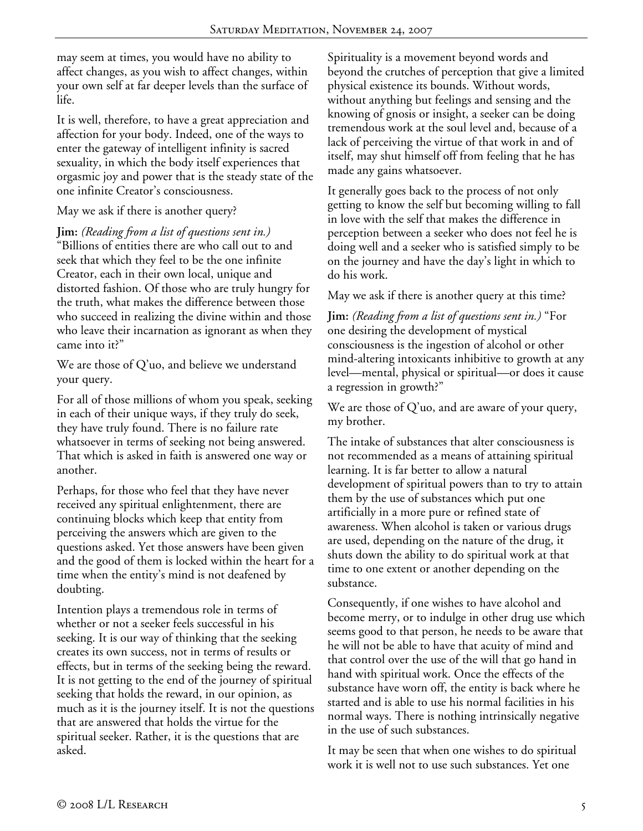may seem at times, you would have no ability to affect changes, as you wish to affect changes, within your own self at far deeper levels than the surface of life.

It is well, therefore, to have a great appreciation and affection for your body. Indeed, one of the ways to enter the gateway of intelligent infinity is sacred sexuality, in which the body itself experiences that orgasmic joy and power that is the steady state of the one infinite Creator's consciousness.

May we ask if there is another query?

**Jim:** *(Reading from a list of questions sent in.)* "Billions of entities there are who call out to and seek that which they feel to be the one infinite Creator, each in their own local, unique and distorted fashion. Of those who are truly hungry for the truth, what makes the difference between those who succeed in realizing the divine within and those who leave their incarnation as ignorant as when they came into it?"

We are those of Q'uo, and believe we understand your query.

For all of those millions of whom you speak, seeking in each of their unique ways, if they truly do seek, they have truly found. There is no failure rate whatsoever in terms of seeking not being answered. That which is asked in faith is answered one way or another.

Perhaps, for those who feel that they have never received any spiritual enlightenment, there are continuing blocks which keep that entity from perceiving the answers which are given to the questions asked. Yet those answers have been given and the good of them is locked within the heart for a time when the entity's mind is not deafened by doubting.

Intention plays a tremendous role in terms of whether or not a seeker feels successful in his seeking. It is our way of thinking that the seeking creates its own success, not in terms of results or effects, but in terms of the seeking being the reward. It is not getting to the end of the journey of spiritual seeking that holds the reward, in our opinion, as much as it is the journey itself. It is not the questions that are answered that holds the virtue for the spiritual seeker. Rather, it is the questions that are asked.

Spirituality is a movement beyond words and beyond the crutches of perception that give a limited physical existence its bounds. Without words, without anything but feelings and sensing and the knowing of gnosis or insight, a seeker can be doing tremendous work at the soul level and, because of a lack of perceiving the virtue of that work in and of itself, may shut himself off from feeling that he has made any gains whatsoever.

It generally goes back to the process of not only getting to know the self but becoming willing to fall in love with the self that makes the difference in perception between a seeker who does not feel he is doing well and a seeker who is satisfied simply to be on the journey and have the day's light in which to do his work.

May we ask if there is another query at this time?

**Jim:** *(Reading from a list of questions sent in.)* "For one desiring the development of mystical consciousness is the ingestion of alcohol or other mind-altering intoxicants inhibitive to growth at any level—mental, physical or spiritual—or does it cause a regression in growth?"

We are those of Q'uo, and are aware of your query, my brother.

The intake of substances that alter consciousness is not recommended as a means of attaining spiritual learning. It is far better to allow a natural development of spiritual powers than to try to attain them by the use of substances which put one artificially in a more pure or refined state of awareness. When alcohol is taken or various drugs are used, depending on the nature of the drug, it shuts down the ability to do spiritual work at that time to one extent or another depending on the substance.

Consequently, if one wishes to have alcohol and become merry, or to indulge in other drug use which seems good to that person, he needs to be aware that he will not be able to have that acuity of mind and that control over the use of the will that go hand in hand with spiritual work. Once the effects of the substance have worn off, the entity is back where he started and is able to use his normal facilities in his normal ways. There is nothing intrinsically negative in the use of such substances.

It may be seen that when one wishes to do spiritual work it is well not to use such substances. Yet one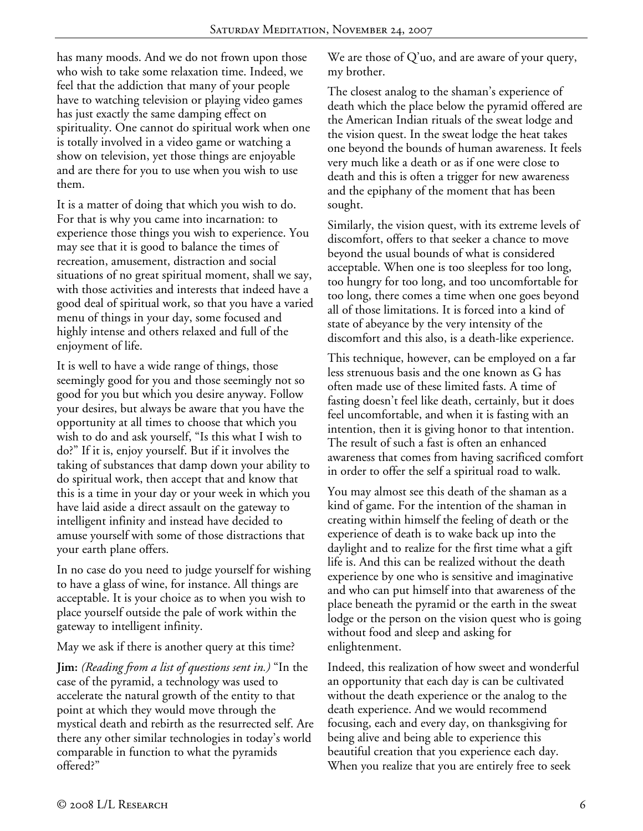has many moods. And we do not frown upon those who wish to take some relaxation time. Indeed, we feel that the addiction that many of your people have to watching television or playing video games has just exactly the same damping effect on spirituality. One cannot do spiritual work when one is totally involved in a video game or watching a show on television, yet those things are enjoyable and are there for you to use when you wish to use them.

It is a matter of doing that which you wish to do. For that is why you came into incarnation: to experience those things you wish to experience. You may see that it is good to balance the times of recreation, amusement, distraction and social situations of no great spiritual moment, shall we say, with those activities and interests that indeed have a good deal of spiritual work, so that you have a varied menu of things in your day, some focused and highly intense and others relaxed and full of the enjoyment of life.

It is well to have a wide range of things, those seemingly good for you and those seemingly not so good for you but which you desire anyway. Follow your desires, but always be aware that you have the opportunity at all times to choose that which you wish to do and ask yourself, "Is this what I wish to do?" If it is, enjoy yourself. But if it involves the taking of substances that damp down your ability to do spiritual work, then accept that and know that this is a time in your day or your week in which you have laid aside a direct assault on the gateway to intelligent infinity and instead have decided to amuse yourself with some of those distractions that your earth plane offers.

In no case do you need to judge yourself for wishing to have a glass of wine, for instance. All things are acceptable. It is your choice as to when you wish to place yourself outside the pale of work within the gateway to intelligent infinity.

May we ask if there is another query at this time?

**Jim:** *(Reading from a list of questions sent in.)* "In the case of the pyramid, a technology was used to accelerate the natural growth of the entity to that point at which they would move through the mystical death and rebirth as the resurrected self. Are there any other similar technologies in today's world comparable in function to what the pyramids offered?"

We are those of  $Q'$ uo, and are aware of your query, my brother.

The closest analog to the shaman's experience of death which the place below the pyramid offered are the American Indian rituals of the sweat lodge and the vision quest. In the sweat lodge the heat takes one beyond the bounds of human awareness. It feels very much like a death or as if one were close to death and this is often a trigger for new awareness and the epiphany of the moment that has been sought.

Similarly, the vision quest, with its extreme levels of discomfort, offers to that seeker a chance to move beyond the usual bounds of what is considered acceptable. When one is too sleepless for too long, too hungry for too long, and too uncomfortable for too long, there comes a time when one goes beyond all of those limitations. It is forced into a kind of state of abeyance by the very intensity of the discomfort and this also, is a death-like experience.

This technique, however, can be employed on a far less strenuous basis and the one known as G has often made use of these limited fasts. A time of fasting doesn't feel like death, certainly, but it does feel uncomfortable, and when it is fasting with an intention, then it is giving honor to that intention. The result of such a fast is often an enhanced awareness that comes from having sacrificed comfort in order to offer the self a spiritual road to walk.

You may almost see this death of the shaman as a kind of game. For the intention of the shaman in creating within himself the feeling of death or the experience of death is to wake back up into the daylight and to realize for the first time what a gift life is. And this can be realized without the death experience by one who is sensitive and imaginative and who can put himself into that awareness of the place beneath the pyramid or the earth in the sweat lodge or the person on the vision quest who is going without food and sleep and asking for enlightenment.

Indeed, this realization of how sweet and wonderful an opportunity that each day is can be cultivated without the death experience or the analog to the death experience. And we would recommend focusing, each and every day, on thanksgiving for being alive and being able to experience this beautiful creation that you experience each day. When you realize that you are entirely free to seek